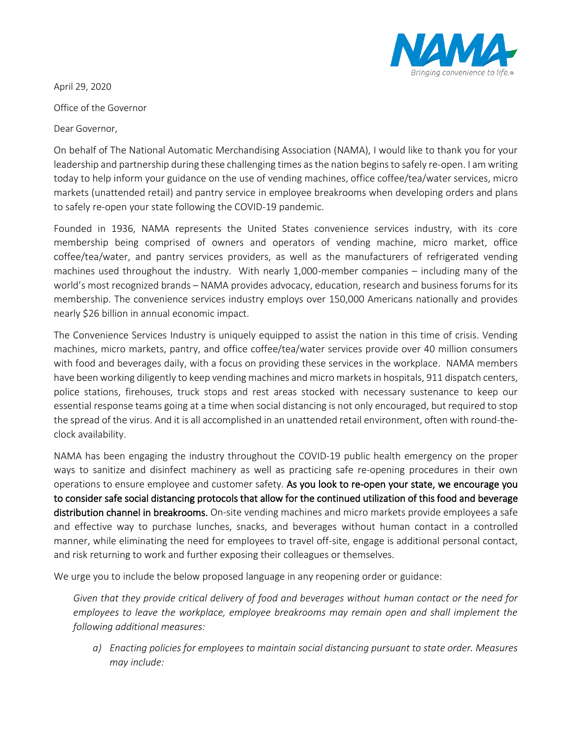

April 29, 2020 Office of the Governor

Dear Governor,

On behalf of The National Automatic Merchandising Association (NAMA), I would like to thank you for your leadership and partnership during these challenging times as the nation begins to safely re-open. I am writing today to help inform your guidance on the use of vending machines, office coffee/tea/water services, micro markets (unattended retail) and pantry service in employee breakrooms when developing orders and plans to safely re-open your state following the COVID-19 pandemic.

Founded in 1936, NAMA represents the United States convenience services industry, with its core membership being comprised of owners and operators of vending machine, micro market, office coffee/tea/water, and pantry services providers, as well as the manufacturers of refrigerated vending machines used throughout the industry. With nearly 1,000-member companies – including many of the world's most recognized brands – NAMA provides advocacy, education, research and business forums for its membership. The convenience services industry employs over 150,000 Americans nationally and provides nearly \$26 billion in annual economic impact.

The Convenience Services Industry is uniquely equipped to assist the nation in this time of crisis. Vending machines, micro markets, pantry, and office coffee/tea/water services provide over 40 million consumers with food and beverages daily, with a focus on providing these services in the workplace. NAMA members have been working diligently to keep vending machines and micro markets in hospitals, 911 dispatch centers, police stations, firehouses, truck stops and rest areas stocked with necessary sustenance to keep our essential response teams going at a time when social distancing is not only encouraged, but required to stop the spread of the virus. And it is all accomplished in an unattended retail environment, often with round-theclock availability.

NAMA has been engaging the industry throughout the COVID-19 public health emergency on the proper ways to sanitize and disinfect machinery as well as practicing safe re-opening procedures in their own operations to ensure employee and customer safety. As you look to re-open your state, we encourage you to consider safe social distancing protocols that allow for the continued utilization of this food and beverage distribution channel in breakrooms. On-site vending machines and micro markets provide employees a safe and effective way to purchase lunches, snacks, and beverages without human contact in a controlled manner, while eliminating the need for employees to travel off-site, engage is additional personal contact, and risk returning to work and further exposing their colleagues or themselves.

We urge you to include the below proposed language in any reopening order or guidance:

*Given that they provide critical delivery of food and beverages without human contact or the need for employees to leave the workplace, employee breakrooms may remain open and shall implement the following additional measures:*

*a) Enacting policies for employees to maintain social distancing pursuant to state order. Measures may include:*